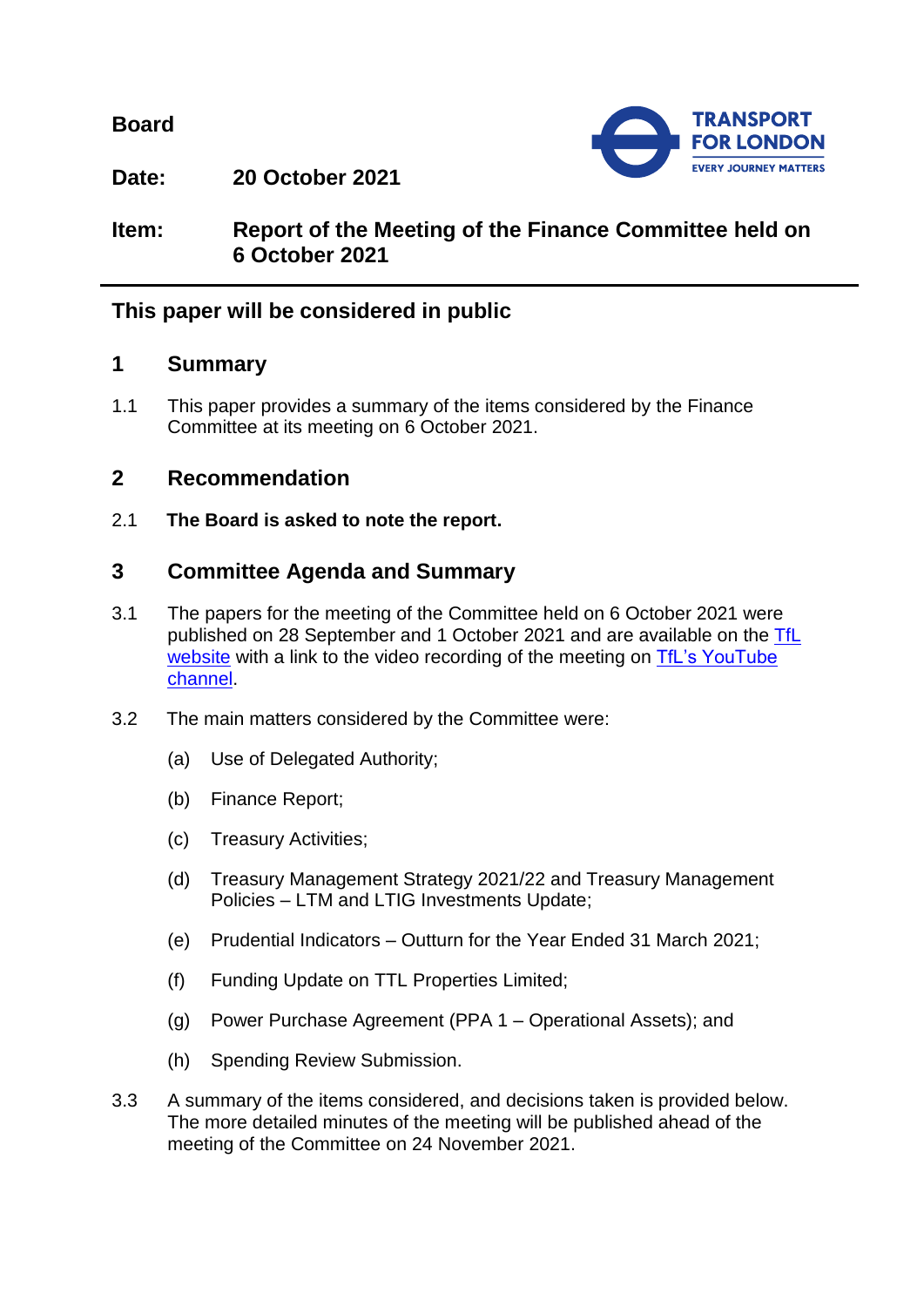**Board**



**Date: 20 October 2021**

**Item: Report of the Meeting of the Finance Committee held on 6 October 2021**

# **This paper will be considered in public**

## **1 Summary**

1.1 This paper provides a summary of the items considered by the Finance Committee at its meeting on 6 October 2021.

## **2 Recommendation**

2.1 **The Board is asked to note the report.**

# **3 Committee Agenda and Summary**

- 3.1 The papers for the meeting of the Committee held on 6 October 2021 were published on 28 September and 1 October 2021 and are available on the [TfL](https://board.tfl.gov.uk/uuCoverPage.aspx?bcr=1)  [website](https://board.tfl.gov.uk/uuCoverPage.aspx?bcr=1) with a link to the video recording of the meeting on TfL's YouTube [channel.](https://www.youtube.com/playlist?list=PLtnlusA0Zoggk4qvN68OcnD9k_7B8cY_d)
- 3.2 The main matters considered by the Committee were:
	- (a) Use of Delegated Authority;
	- (b) Finance Report;
	- (c) Treasury Activities;
	- (d) Treasury Management Strategy 2021/22 and Treasury Management Policies – LTM and LTIG Investments Update;
	- (e) Prudential Indicators Outturn for the Year Ended 31 March 2021;
	- (f) Funding Update on TTL Properties Limited;
	- (g) Power Purchase Agreement (PPA 1 Operational Assets); and
	- (h) Spending Review Submission.
- 3.3 A summary of the items considered, and decisions taken is provided below. The more detailed minutes of the meeting will be published ahead of the meeting of the Committee on 24 November 2021.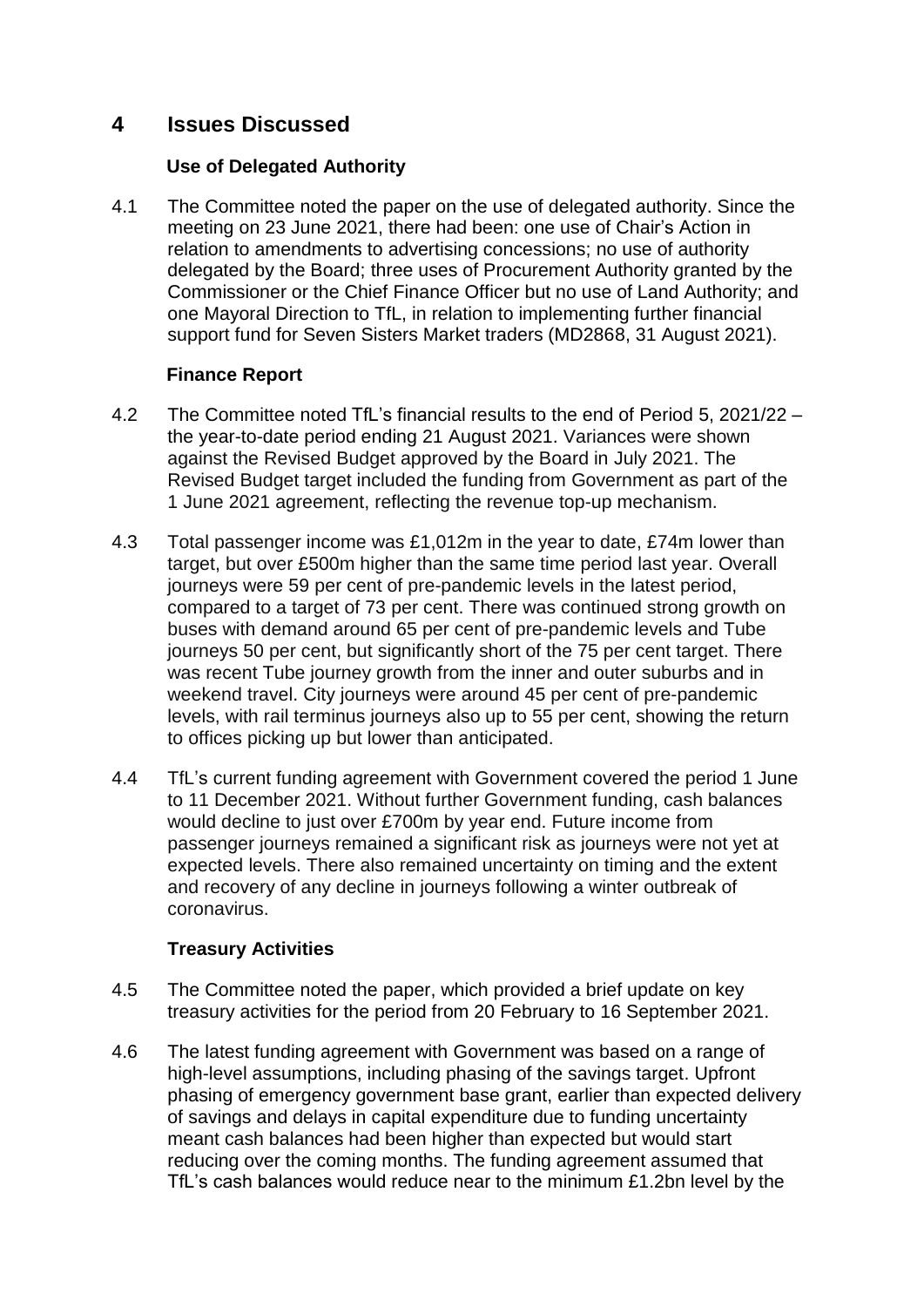## **4 Issues Discussed**

### **Use of Delegated Authority**

4.1 The Committee noted the paper on the use of delegated authority. Since the meeting on 23 June 2021, there had been: one use of Chair's Action in relation to amendments to advertising concessions; no use of authority delegated by the Board; three uses of Procurement Authority granted by the Commissioner or the Chief Finance Officer but no use of Land Authority; and one Mayoral Direction to TfL, in relation to implementing further financial support fund for Seven Sisters Market traders (MD2868, 31 August 2021).

### **Finance Report**

- 4.2 The Committee noted TfL's financial results to the end of Period 5, 2021/22 the year-to-date period ending 21 August 2021. Variances were shown against the Revised Budget approved by the Board in July 2021. The Revised Budget target included the funding from Government as part of the 1 June 2021 agreement, reflecting the revenue top-up mechanism.
- 4.3 Total passenger income was £1,012m in the year to date, £74m lower than target, but over £500m higher than the same time period last year. Overall journeys were 59 per cent of pre-pandemic levels in the latest period, compared to a target of 73 per cent. There was continued strong growth on buses with demand around 65 per cent of pre-pandemic levels and Tube journeys 50 per cent, but significantly short of the 75 per cent target. There was recent Tube journey growth from the inner and outer suburbs and in weekend travel. City journeys were around 45 per cent of pre-pandemic levels, with rail terminus journeys also up to 55 per cent, showing the return to offices picking up but lower than anticipated.
- 4.4 TfL's current funding agreement with Government covered the period 1 June to 11 December 2021. Without further Government funding, cash balances would decline to just over £700m by year end. Future income from passenger journeys remained a significant risk as journeys were not yet at expected levels. There also remained uncertainty on timing and the extent and recovery of any decline in journeys following a winter outbreak of coronavirus.

## **Treasury Activities**

- 4.5 The Committee noted the paper, which provided a brief update on key treasury activities for the period from 20 February to 16 September 2021.
- 4.6 The latest funding agreement with Government was based on a range of high-level assumptions, including phasing of the savings target. Upfront phasing of emergency government base grant, earlier than expected delivery of savings and delays in capital expenditure due to funding uncertainty meant cash balances had been higher than expected but would start reducing over the coming months. The funding agreement assumed that TfL's cash balances would reduce near to the minimum £1.2bn level by the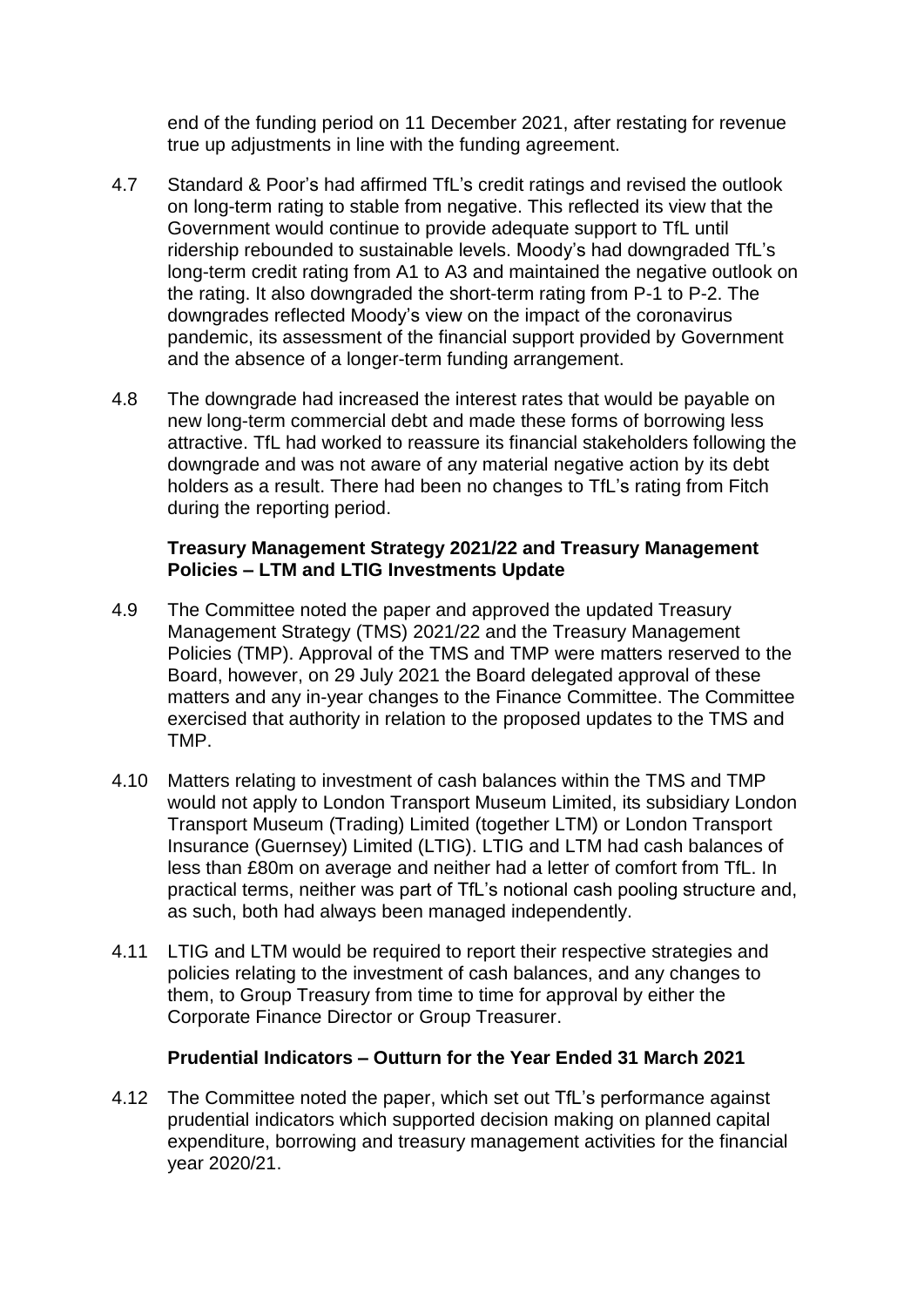end of the funding period on 11 December 2021, after restating for revenue true up adjustments in line with the funding agreement.

- 4.7 Standard & Poor's had affirmed TfL's credit ratings and revised the outlook on long-term rating to stable from negative. This reflected its view that the Government would continue to provide adequate support to TfL until ridership rebounded to sustainable levels. Moody's had downgraded TfL's long-term credit rating from A1 to A3 and maintained the negative outlook on the rating. It also downgraded the short-term rating from P-1 to P-2. The downgrades reflected Moody's view on the impact of the coronavirus pandemic, its assessment of the financial support provided by Government and the absence of a longer-term funding arrangement.
- 4.8 The downgrade had increased the interest rates that would be payable on new long-term commercial debt and made these forms of borrowing less attractive. TfL had worked to reassure its financial stakeholders following the downgrade and was not aware of any material negative action by its debt holders as a result. There had been no changes to TfL's rating from Fitch during the reporting period.

### **Treasury Management Strategy 2021/22 and Treasury Management Policies – LTM and LTIG Investments Update**

- 4.9 The Committee noted the paper and approved the updated Treasury Management Strategy (TMS) 2021/22 and the Treasury Management Policies (TMP). Approval of the TMS and TMP were matters reserved to the Board, however, on 29 July 2021 the Board delegated approval of these matters and any in-year changes to the Finance Committee. The Committee exercised that authority in relation to the proposed updates to the TMS and TMP.
- 4.10 Matters relating to investment of cash balances within the TMS and TMP would not apply to London Transport Museum Limited, its subsidiary London Transport Museum (Trading) Limited (together LTM) or London Transport Insurance (Guernsey) Limited (LTIG). LTIG and LTM had cash balances of less than £80m on average and neither had a letter of comfort from TfL. In practical terms, neither was part of TfL's notional cash pooling structure and, as such, both had always been managed independently.
- 4.11 LTIG and LTM would be required to report their respective strategies and policies relating to the investment of cash balances, and any changes to them, to Group Treasury from time to time for approval by either the Corporate Finance Director or Group Treasurer.

### **Prudential Indicators – Outturn for the Year Ended 31 March 2021**

4.12 The Committee noted the paper, which set out TfL's performance against prudential indicators which supported decision making on planned capital expenditure, borrowing and treasury management activities for the financial year 2020/21.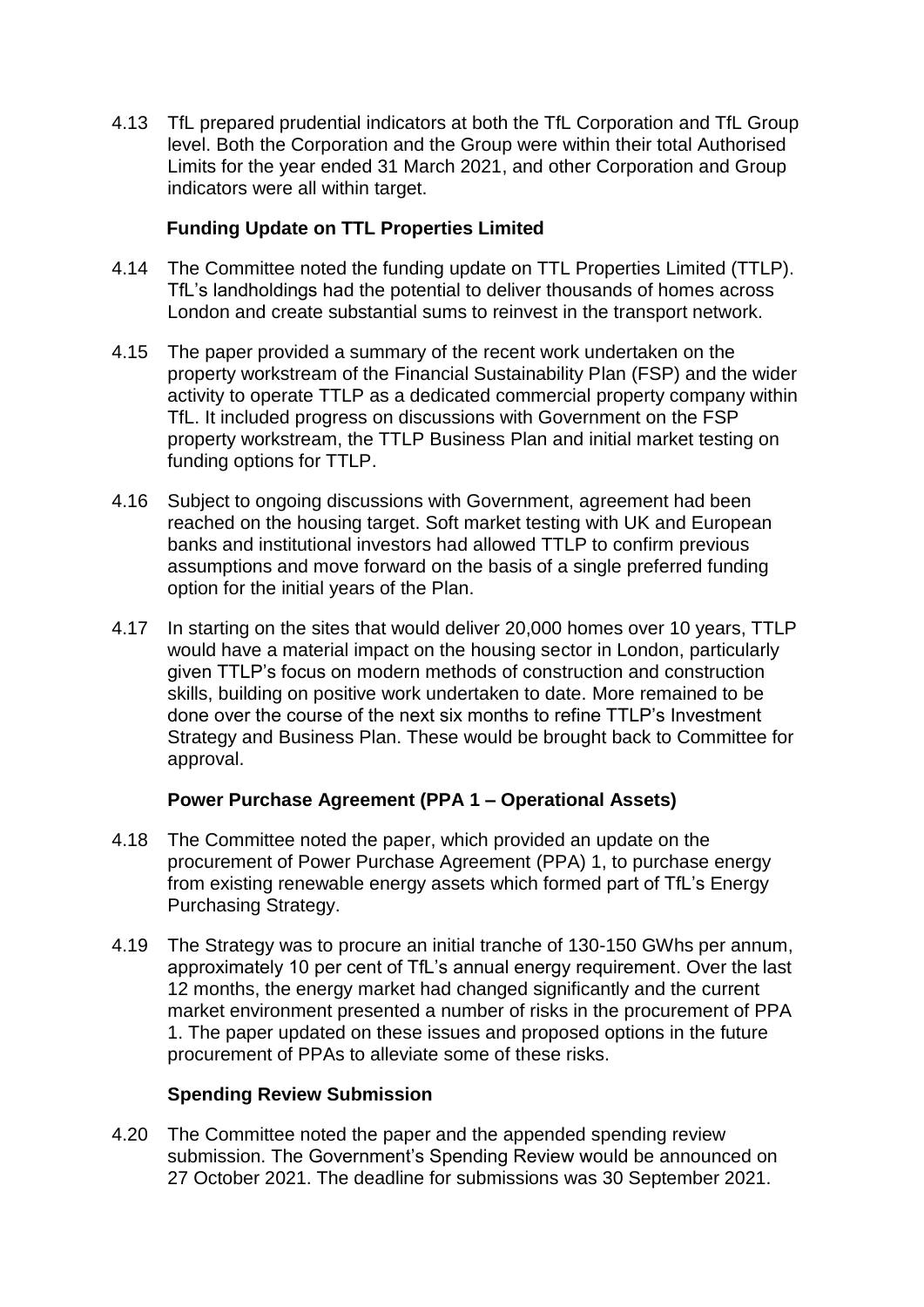4.13 TfL prepared prudential indicators at both the TfL Corporation and TfL Group level. Both the Corporation and the Group were within their total Authorised Limits for the year ended 31 March 2021, and other Corporation and Group indicators were all within target.

### **Funding Update on TTL Properties Limited**

- 4.14 The Committee noted the funding update on TTL Properties Limited (TTLP). TfL's landholdings had the potential to deliver thousands of homes across London and create substantial sums to reinvest in the transport network.
- 4.15 The paper provided a summary of the recent work undertaken on the property workstream of the Financial Sustainability Plan (FSP) and the wider activity to operate TTLP as a dedicated commercial property company within TfL. It included progress on discussions with Government on the FSP property workstream, the TTLP Business Plan and initial market testing on funding options for TTLP.
- 4.16 Subject to ongoing discussions with Government, agreement had been reached on the housing target. Soft market testing with UK and European banks and institutional investors had allowed TTLP to confirm previous assumptions and move forward on the basis of a single preferred funding option for the initial years of the Plan.
- 4.17 In starting on the sites that would deliver 20,000 homes over 10 years, TTLP would have a material impact on the housing sector in London, particularly given TTLP's focus on modern methods of construction and construction skills, building on positive work undertaken to date. More remained to be done over the course of the next six months to refine TTLP's Investment Strategy and Business Plan. These would be brought back to Committee for approval.

### **Power Purchase Agreement (PPA 1 – Operational Assets)**

- 4.18 The Committee noted the paper, which provided an update on the procurement of Power Purchase Agreement (PPA) 1, to purchase energy from existing renewable energy assets which formed part of TfL's Energy Purchasing Strategy.
- 4.19 The Strategy was to procure an initial tranche of 130-150 GWhs per annum, approximately 10 per cent of TfL's annual energy requirement. Over the last 12 months, the energy market had changed significantly and the current market environment presented a number of risks in the procurement of PPA 1. The paper updated on these issues and proposed options in the future procurement of PPAs to alleviate some of these risks.

### **Spending Review Submission**

4.20 The Committee noted the paper and the appended spending review submission. The Government's Spending Review would be announced on 27 October 2021. The deadline for submissions was 30 September 2021.